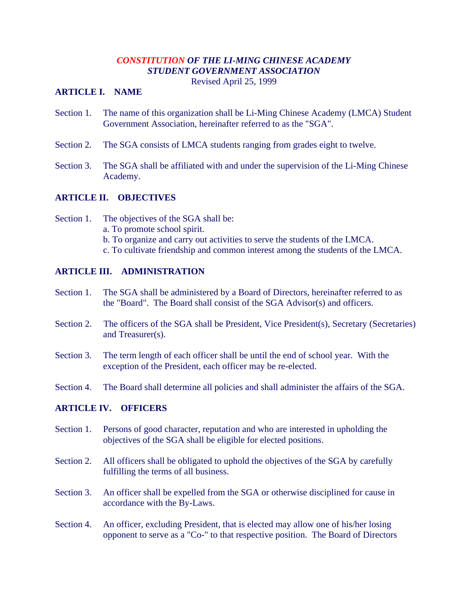# *CONSTITUTION OF THE LI-MING CHINESE ACADEMY STUDENT GOVERNMENT ASSOCIATION*

Revised April 25, 1999

#### **ARTICLE I. NAME**

- Section 1. The name of this organization shall be Li-Ming Chinese Academy (LMCA) Student Government Association, hereinafter referred to as the "SGA".
- Section 2. The SGA consists of LMCA students ranging from grades eight to twelve.
- Section 3. The SGA shall be affiliated with and under the supervision of the Li-Ming Chinese Academy.

# **ARTICLE II. OBJECTIVES**

Section 1. The objectives of the SGA shall be: a. To promote school spirit. b. To organize and carry out activities to serve the students of the LMCA. c. To cultivate friendship and common interest among the students of the LMCA.

# **ARTICLE III. ADMINISTRATION**

- Section 1. The SGA shall be administered by a Board of Directors, hereinafter referred to as the "Board". The Board shall consist of the SGA Advisor(s) and officers.
- Section 2. The officers of the SGA shall be President, Vice President(s), Secretary (Secretaries) and Treasurer(s).
- Section 3. The term length of each officer shall be until the end of school year. With the exception of the President, each officer may be re-elected.
- Section 4. The Board shall determine all policies and shall administer the affairs of the SGA.

### **ARTICLE IV. OFFICERS**

- Section 1. Persons of good character, reputation and who are interested in upholding the objectives of the SGA shall be eligible for elected positions.
- Section 2. All officers shall be obligated to uphold the objectives of the SGA by carefully fulfilling the terms of all business.
- Section 3. An officer shall be expelled from the SGA or otherwise disciplined for cause in accordance with the By-Laws.
- Section 4. An officer, excluding President, that is elected may allow one of his/her losing opponent to serve as a "Co-" to that respective position. The Board of Directors